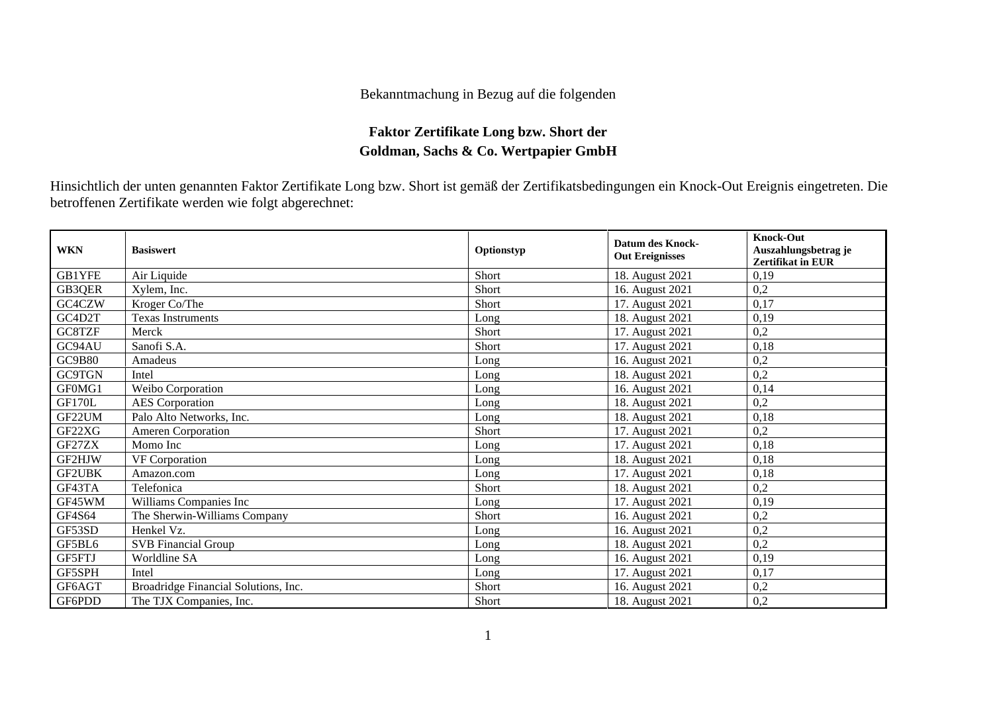## Bekanntmachung in Bezug auf die folgenden

## **Faktor Zertifikate Long bzw. Short der Goldman, Sachs & Co. Wertpapier GmbH**

Hinsichtlich der unten genannten Faktor Zertifikate Long bzw. Short ist gemäß der Zertifikatsbedingungen ein Knock-Out Ereignis eingetreten. Die betroffenen Zertifikate werden wie folgt abgerechnet:

| <b>WKN</b>    | <b>Basiswert</b>                     | Optionstyp | Datum des Knock-<br><b>Out Ereignisses</b> | <b>Knock-Out</b><br>Auszahlungsbetrag je<br><b>Zertifikat in EUR</b> |
|---------------|--------------------------------------|------------|--------------------------------------------|----------------------------------------------------------------------|
| GB1YFE        | Air Liquide                          | Short      | 18. August 2021                            | 0,19                                                                 |
| GB3QER        | Xylem, Inc.                          | Short      | 16. August 2021                            | 0,2                                                                  |
| GC4CZW        | Kroger Co/The                        | Short      | 17. August 2021                            | 0,17                                                                 |
| GC4D2T        | <b>Texas Instruments</b>             | Long       | 18. August 2021                            | 0,19                                                                 |
| GC8TZF        | Merck                                | Short      | 17. August 2021                            | 0,2                                                                  |
| GC94AU        | Sanofi S.A.                          | Short      | 17. August 2021                            | 0,18                                                                 |
| <b>GC9B80</b> | Amadeus                              | Long       | 16. August 2021                            | 0,2                                                                  |
| <b>GC9TGN</b> | Intel                                | Long       | 18. August 2021                            | 0,2                                                                  |
| GF0MG1        | Weibo Corporation                    | Long       | 16. August 2021                            | 0,14                                                                 |
| <b>GF170L</b> | <b>AES</b> Corporation               | Long       | 18. August 2021                            | 0,2                                                                  |
| GF22UM        | Palo Alto Networks, Inc.             | Long       | 18. August 2021                            | 0,18                                                                 |
| GF22XG        | <b>Ameren Corporation</b>            | Short      | 17. August 2021                            | 0,2                                                                  |
| GF27ZX        | Momo Inc                             | Long       | 17. August 2021                            | 0,18                                                                 |
| GF2HJW        | <b>VF</b> Corporation                | $L$ ong    | 18. August 2021                            | 0,18                                                                 |
| GF2UBK        | Amazon.com                           | Long       | 17. August 2021                            | 0,18                                                                 |
| GF43TA        | Telefonica                           | Short      | 18. August 2021                            | 0,2                                                                  |
| GF45WM        | Williams Companies Inc               | Long       | 17. August 2021                            | 0,19                                                                 |
| GF4S64        | The Sherwin-Williams Company         | Short      | 16. August 2021                            | 0,2                                                                  |
| GF53SD        | Henkel Vz.                           | Long       | 16. August 2021                            | 0,2                                                                  |
| GF5BL6        | <b>SVB</b> Financial Group           | Long       | 18. August 2021                            | 0,2                                                                  |
| GF5FTJ        | Worldline SA                         | Long       | 16. August 2021                            | 0,19                                                                 |
| GF5SPH        | Intel                                | Long       | 17. August 2021                            | 0,17                                                                 |
| GF6AGT        | Broadridge Financial Solutions, Inc. | Short      | 16. August 2021                            | 0,2                                                                  |
| GF6PDD        | The TJX Companies, Inc.              | Short      | 18. August 2021                            | 0,2                                                                  |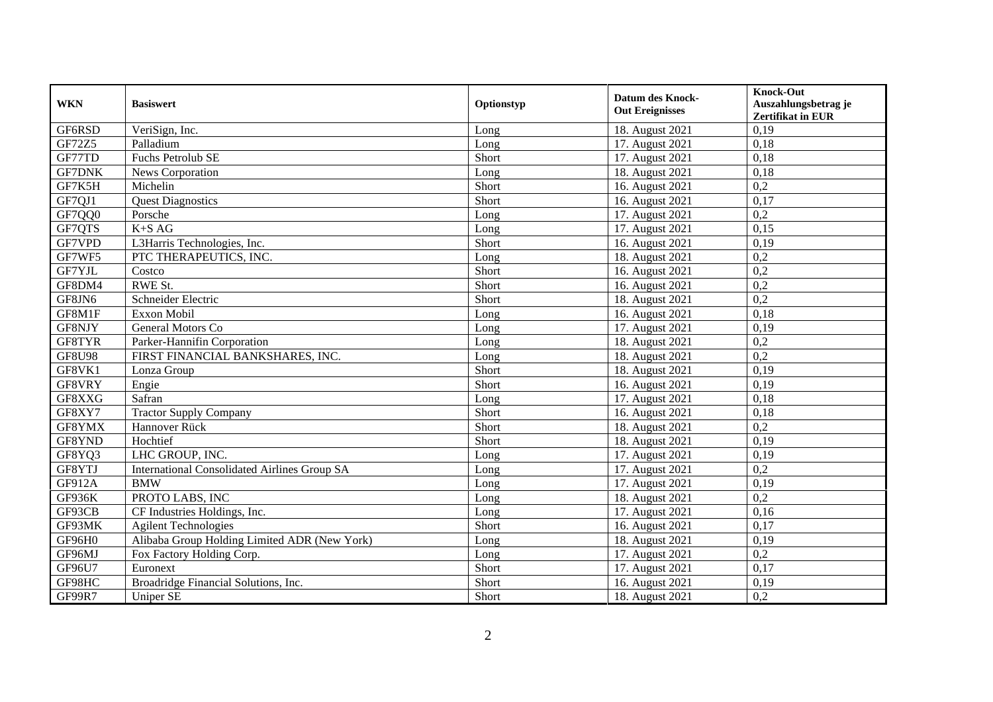| <b>WKN</b>    | <b>Basiswert</b>                                    | Optionstyp | <b>Datum des Knock-</b><br><b>Out Ereignisses</b> | <b>Knock-Out</b><br>Auszahlungsbetrag je<br>Zertifikat in EUR |
|---------------|-----------------------------------------------------|------------|---------------------------------------------------|---------------------------------------------------------------|
| GF6RSD        | VeriSign, Inc.                                      | Long       | 18. August 2021                                   | 0,19                                                          |
| GF72Z5        | Palladium                                           | Long       | 17. August 2021                                   | 0,18                                                          |
| GF77TD        | Fuchs Petrolub SE                                   | Short      | 17. August 2021                                   | 0,18                                                          |
| <b>GF7DNK</b> | News Corporation                                    | Long       | 18. August 2021                                   | 0.18                                                          |
| GF7K5H        | Michelin                                            | Short      | 16. August 2021                                   | 0,2                                                           |
| GF7QJ1        | <b>Quest Diagnostics</b>                            | Short      | 16. August 2021                                   | 0.17                                                          |
| GF7QQ0        | Porsche                                             | Long       | 17. August 2021                                   | $\overline{0,2}$                                              |
| GF7QTS        | $K+SAG$                                             | Long       | 17. August 2021                                   | 0,15                                                          |
| GF7VPD        | L3Harris Technologies, Inc.                         | Short      | 16. August 2021                                   | 0,19                                                          |
| GF7WF5        | PTC THERAPEUTICS, INC.                              | Long       | 18. August 2021                                   | 0,2                                                           |
| GF7YJL        | Costco                                              | Short      | 16. August 2021                                   | 0,2                                                           |
| GF8DM4        | RWE St.                                             | Short      | 16. August 2021                                   | 0,2                                                           |
| GF8JN6        | Schneider Electric                                  | Short      | 18. August 2021                                   | 0,2                                                           |
| GF8M1F        | Exxon Mobil                                         | Long       | 16. August 2021                                   | 0,18                                                          |
| GF8NJY        | General Motors Co                                   | Long       | 17. August 2021                                   | 0,19                                                          |
| GF8TYR        | Parker-Hannifin Corporation                         | Long       | 18. August 2021                                   | 0,2                                                           |
| <b>GF8U98</b> | FIRST FINANCIAL BANKSHARES, INC.                    | Long       | 18. August 2021                                   | 0,2                                                           |
| GF8VK1        | Lonza Group                                         | Short      | 18. August 2021                                   | 0,19                                                          |
| GF8VRY        | Engie                                               | Short      | 16. August 2021                                   | 0,19                                                          |
| GF8XXG        | Safran                                              | Long       | 17. August 2021                                   | 0,18                                                          |
| GF8XY7        | Tractor Supply Company                              | Short      | 16. August 2021                                   | 0,18                                                          |
| GF8YMX        | Hannover Rück                                       | Short      | 18. August 2021                                   | $\overline{0.2}$                                              |
| GF8YND        | Hochtief                                            | Short      | 18. August 2021                                   | 0,19                                                          |
| GF8YQ3        | LHC GROUP, INC.                                     | Long       | 17. August 2021                                   | 0,19                                                          |
| GF8YTJ        | <b>International Consolidated Airlines Group SA</b> | Long       | 17. August 2021                                   | 0,2                                                           |
| GF912A        | <b>BMW</b>                                          | Long       | 17. August 2021                                   | 0,19                                                          |
| GF936K        | PROTO LABS, INC                                     | Long       | 18. August 2021                                   | 0,2                                                           |
| GF93CB        | CF Industries Holdings, Inc.                        | Long       | 17. August 2021                                   | 0,16                                                          |
| GF93MK        | <b>Agilent Technologies</b>                         | Short      | 16. August 2021                                   | 0,17                                                          |
| GF96H0        | Alibaba Group Holding Limited ADR (New York)        | Long       | 18. August 2021                                   | 0,19                                                          |
| GF96MJ        | Fox Factory Holding Corp.                           | Long       | 17. August 2021                                   | $\overline{0,2}$                                              |
| GF96U7        | Euronext                                            | Short      | 17. August 2021                                   | 0,17                                                          |
| GF98HC        | Broadridge Financial Solutions, Inc.                | Short      | 16. August 2021                                   | 0,19                                                          |
| <b>GF99R7</b> | <b>Uniper SE</b>                                    | Short      | 18. August 2021                                   | 0,2                                                           |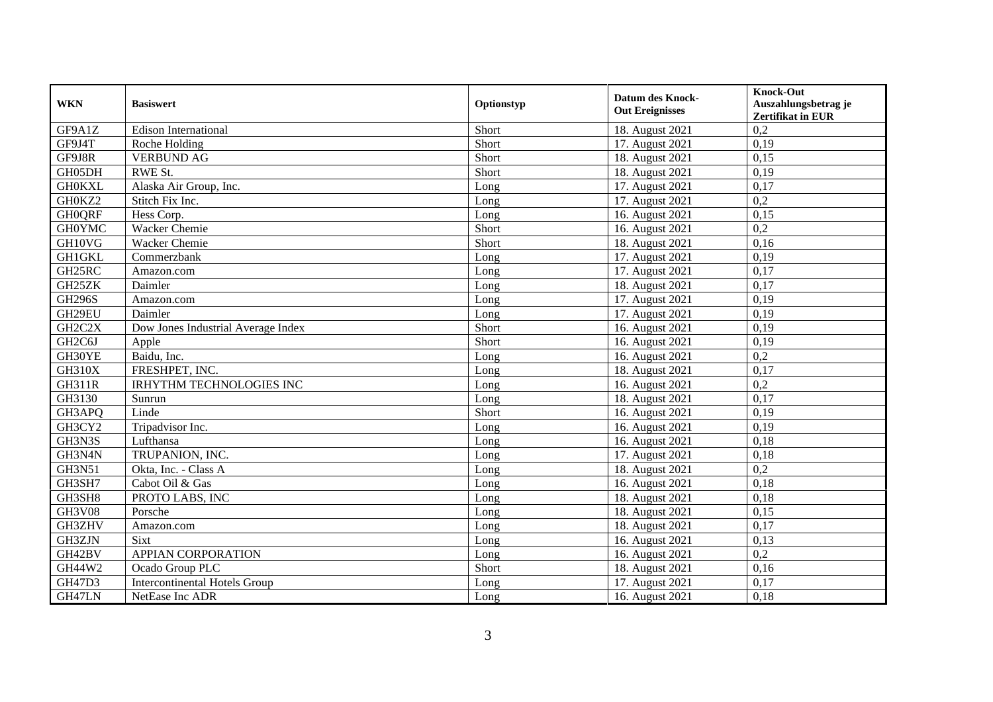| <b>WKN</b>                       | <b>Basiswert</b>                     | Optionstyp | <b>Datum des Knock-</b><br><b>Out Ereignisses</b> | <b>Knock-Out</b><br>Auszahlungsbetrag je<br>Zertifikat in EUR |
|----------------------------------|--------------------------------------|------------|---------------------------------------------------|---------------------------------------------------------------|
| GF9A1Z                           | Edison International                 | Short      | 18. August 2021                                   | 0,2                                                           |
| GF9J4T                           | Roche Holding                        | Short      | 17. August 2021                                   | 0,19                                                          |
| GF9J8R                           | <b>VERBUND AG</b>                    | Short      | 18. August 2021                                   | 0.15                                                          |
| GH05DH                           | <b>RWE St.</b>                       | Short      | 18. August 2021                                   | 0,19                                                          |
| <b>GH0KXL</b>                    | Alaska Air Group, Inc.               | Long       | 17. August 2021                                   | 0.17                                                          |
| GH0KZ2                           | Stitch Fix Inc.                      | Long       | 17. August 2021                                   | 0,2                                                           |
| <b>GH0QRF</b>                    | Hess Corp.                           | Long       | 16. August 2021                                   | 0.15                                                          |
| <b>GH0YMC</b>                    | Wacker Chemie                        | Short      | 16. August 2021                                   | 0,2                                                           |
| GH10VG                           | <b>Wacker Chemie</b>                 | Short      | 18. August 2021                                   | 0,16                                                          |
| <b>GH1GKL</b>                    | Commerzbank                          | Long       | 17. August 2021                                   | 0,19                                                          |
| GH25RC                           | Amazon.com                           | Long       | 17. August 2021                                   | 0,17                                                          |
| GH25ZK                           | Daimler                              | Long       | 18. August 2021                                   | 0,17                                                          |
| <b>GH296S</b>                    | Amazon.com                           | Long       | 17. August 2021                                   | 0,19                                                          |
| GH29EU                           | Daimler                              | Long       | 17. August 2021                                   | 0,19                                                          |
| GH2C2X                           | Dow Jones Industrial Average Index   | Short      | 16. August 2021                                   | 0,19                                                          |
| GH <sub>2</sub> C <sub>6</sub> J | Apple                                | Short      | 16. August 2021                                   | 0,19                                                          |
| GH30YE                           | Baidu, Inc.                          | Long       | 16. August 2021                                   | 0,2                                                           |
| <b>GH310X</b>                    | FRESHPET, INC.                       | Long       | 18. August 2021                                   | 0,17                                                          |
| <b>GH311R</b>                    | <b>IRHYTHM TECHNOLOGIES INC</b>      | Long       | 16. August 2021                                   | 0,2                                                           |
| GH3130                           | Sunrun                               | Long       | 18. August 2021                                   | 0,17                                                          |
| GH3APQ                           | Linde                                | Short      | 16. August 2021                                   | 0,19                                                          |
| GH3CY2                           | Tripadvisor Inc.                     | Long       | 16. August 2021                                   | 0,19                                                          |
| GH3N3S                           | Lufthansa                            | Long       | 16. August 2021                                   | 0.18                                                          |
| GH3N4N                           | TRUPANION, INC.                      | Long       | 17. August 2021                                   | 0,18                                                          |
| GH3N51                           | Okta, Inc. - Class A                 | Long       | 18. August 2021                                   | 0,2                                                           |
| GH3SH7                           | Cabot Oil & Gas                      | Long       | 16. August 2021                                   | 0.18                                                          |
| GH3SH8                           | PROTO LABS, INC                      | Long       | 18. August 2021                                   | 0,18                                                          |
| <b>GH3V08</b>                    | Porsche                              | Long       | 18. August 2021                                   | 0,15                                                          |
| GH3ZHV                           | Amazon.com                           | Long       | 18. August 2021                                   | 0,17                                                          |
| GH3ZJN                           | Sixt                                 | Long       | 16. August 2021                                   | 0,13                                                          |
| GH42BV                           | <b>APPIAN CORPORATION</b>            | Long       | 16. August 2021                                   | 0,2                                                           |
| GH44W2                           | Ocado Group PLC                      | Short      | 18. August 2021                                   | 0,16                                                          |
| <b>GH47D3</b>                    | <b>Intercontinental Hotels Group</b> | Long       | 17. August 2021                                   | 0,17                                                          |
| GH47LN                           | NetEase Inc ADR                      | Long       | 16. August 2021                                   | 0,18                                                          |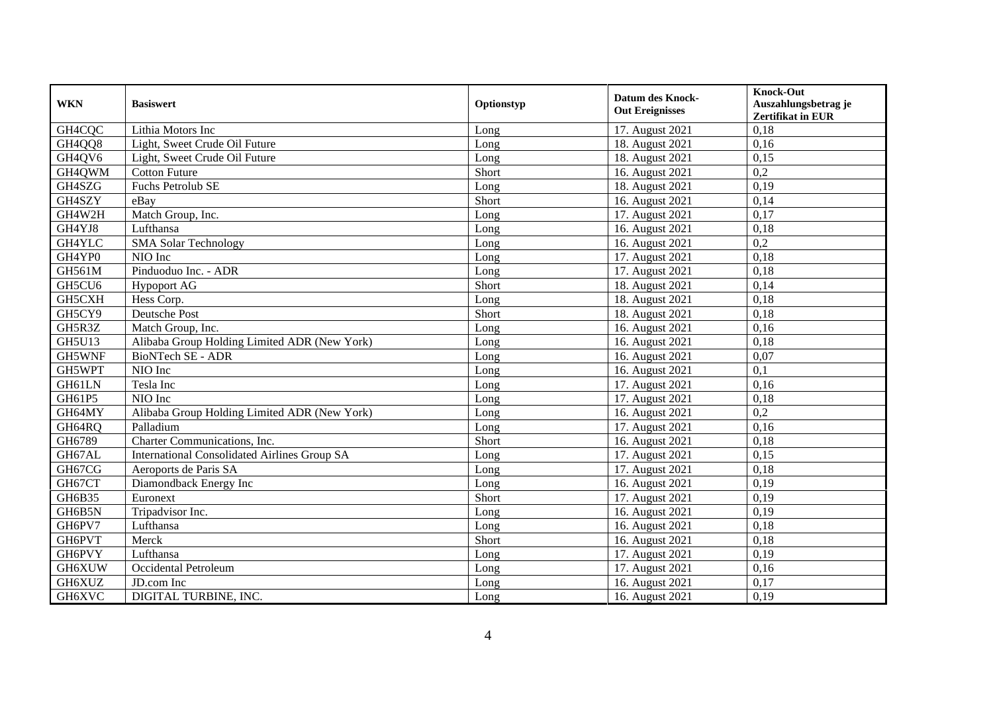| <b>WKN</b>    | <b>Basiswert</b>                                    | Optionstyp | <b>Datum des Knock-</b><br><b>Out Ereignisses</b> | <b>Knock-Out</b><br>Auszahlungsbetrag je<br>Zertifikat in EUR |
|---------------|-----------------------------------------------------|------------|---------------------------------------------------|---------------------------------------------------------------|
| GH4CQC        | Lithia Motors Inc                                   | Long       | 17. August 2021                                   | 0.18                                                          |
| GH4QQ8        | Light, Sweet Crude Oil Future                       | Long       | 18. August 2021                                   | 0,16                                                          |
| GH4QV6        | Light, Sweet Crude Oil Future                       | Long       | 18. August 2021                                   | 0,15                                                          |
| GH4QWM        | <b>Cotton Future</b>                                | Short      | 16. August 2021                                   | 0,2                                                           |
| GH4SZG        | Fuchs Petrolub SE                                   | Long       | 18. August 2021                                   | 0.19                                                          |
| GH4SZY        | eBay                                                | Short      | 16. August 2021                                   | 0,14                                                          |
| GH4W2H        | Match Group, Inc.                                   | Long       | 17. August 2021                                   | 0,17                                                          |
| GH4YJ8        | Lufthansa                                           | Long       | 16. August 2021                                   | 0,18                                                          |
| GH4YLC        | <b>SMA Solar Technology</b>                         | Long       | 16. August 2021                                   | 0,2                                                           |
| GH4YP0        | NIO Inc                                             | Long       | 17. August 2021                                   | 0,18                                                          |
| <b>GH561M</b> | Pinduoduo Inc. - ADR                                | Long       | 17. August 2021                                   | 0,18                                                          |
| GH5CU6        | <b>Hypoport AG</b>                                  | Short      | 18. August 2021                                   | 0,14                                                          |
| GH5CXH        | Hess Corp.                                          | Long       | 18. August 2021                                   | 0,18                                                          |
| GH5CY9        | <b>Deutsche Post</b>                                | Short      | 18. August 2021                                   | 0,18                                                          |
| GH5R3Z        | Match Group, Inc.                                   | Long       | 16. August 2021                                   | 0,16                                                          |
| <b>GH5U13</b> | Alibaba Group Holding Limited ADR (New York)        | Long       | 16. August 2021                                   | 0,18                                                          |
| GH5WNF        | BioNTech SE - ADR                                   | Long       | 16. August 2021                                   | 0,07                                                          |
| GH5WPT        | NIO Inc                                             | Long       | 16. August 2021                                   | 0,1                                                           |
| GH61LN        | Tesla Inc                                           | Long       | 17. August 2021                                   | 0,16                                                          |
| GH61P5        | $NIO$ Inc                                           | Long       | 17. August 2021                                   | 0,18                                                          |
| GH64MY        | Alibaba Group Holding Limited ADR (New York)        | Long       | 16. August 2021                                   | $\overline{0,2}$                                              |
| GH64RQ        | Palladium                                           | Long       | 17. August 2021                                   | 0,16                                                          |
| GH6789        | Charter Communications, Inc.                        | Short      | 16. August 2021                                   | 0,18                                                          |
| GH67AL        | <b>International Consolidated Airlines Group SA</b> | Long       | 17. August 2021                                   | 0,15                                                          |
| GH67CG        | Aeroports de Paris SA                               | Long       | 17. August 2021                                   | 0,18                                                          |
| GH67CT        | Diamondback Energy Inc                              | Long       | 16. August 2021                                   | 0,19                                                          |
| GH6B35        | Euronext                                            | Short      | 17. August 2021                                   | 0,19                                                          |
| GH6B5N        | Tripadvisor Inc.                                    | Long       | 16. August 2021                                   | 0,19                                                          |
| GH6PV7        | Lufthansa                                           | Long       | 16. August 2021                                   | 0,18                                                          |
| GH6PVT        | Merck                                               | Short      | 16. August 2021                                   | 0,18                                                          |
| GH6PVY        | Lufthansa                                           | Long       | 17. August 2021                                   | 0,19                                                          |
| GH6XUW        | Occidental Petroleum                                | Long       | 17. August 2021                                   | 0,16                                                          |
| GH6XUZ        | JD.com Inc                                          | Long       | 16. August 2021                                   | 0,17                                                          |
| GH6XVC        | DIGITAL TURBINE, INC.                               | Long       | 16. August 2021                                   | 0,19                                                          |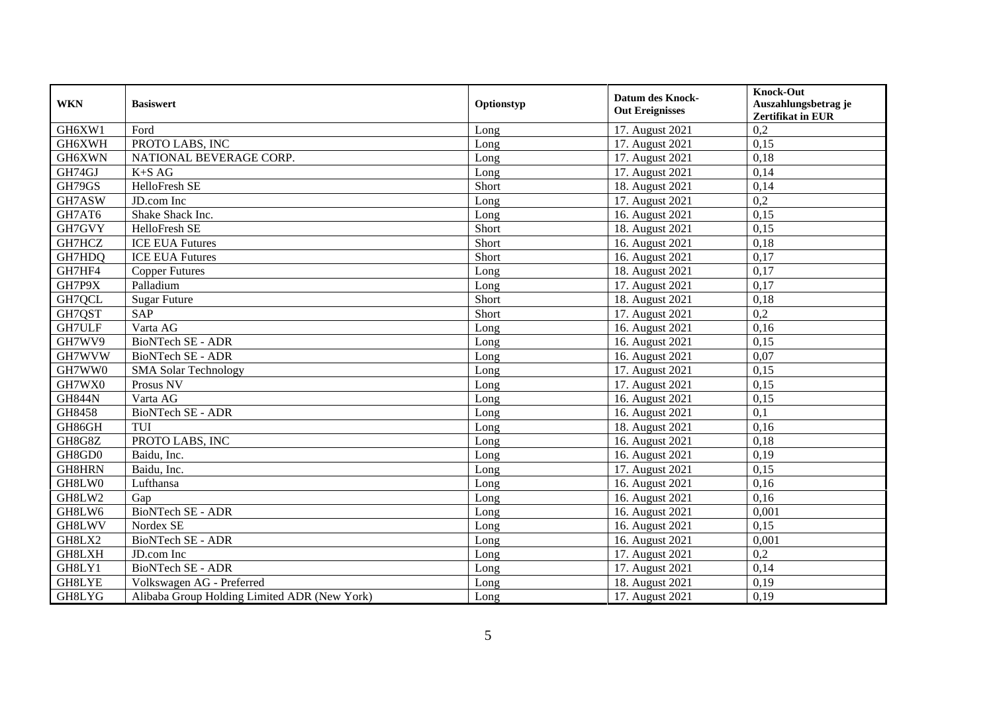| <b>WKN</b>    | <b>Basiswert</b>                             | Optionstyp | <b>Datum des Knock-</b><br><b>Out Ereignisses</b> | <b>Knock-Out</b><br>Auszahlungsbetrag je |
|---------------|----------------------------------------------|------------|---------------------------------------------------|------------------------------------------|
|               |                                              |            |                                                   | <b>Zertifikat in EUR</b>                 |
| GH6XW1        | Ford                                         | Long       | 17. August 2021                                   | 0,2                                      |
| GH6XWH        | PROTO LABS, INC                              | Long       | 17. August 2021                                   | 0,15                                     |
| <b>GH6XWN</b> | NATIONAL BEVERAGE CORP.                      | Long       | 17. August 2021                                   | 0.18                                     |
| GH74GJ        | $K+SAG$                                      | Long       | 17. August 2021                                   | 0,14                                     |
| GH79GS        | HelloFresh SE                                | Short      | 18. August 2021                                   | 0.14                                     |
| GH7ASW        | JD.com Inc                                   | Long       | 17. August 2021                                   | 0,2                                      |
| GH7AT6        | Shake Shack Inc.                             | Long       | 16. August 2021                                   | 0.15                                     |
| GH7GVY        | HelloFresh SE                                | Short      | 18. August 2021                                   | 0,15                                     |
| GH7HCZ        | <b>ICE EUA Futures</b>                       | Short      | 16. August 2021                                   | 0,18                                     |
| GH7HDQ        | <b>ICE EUA Futures</b>                       | Short      | 16. August 2021                                   | 0,17                                     |
| GH7HF4        | <b>Copper Futures</b>                        | Long       | 18. August 2021                                   | 0,17                                     |
| GH7P9X        | Palladium                                    | Long       | 17. August 2021                                   | 0,17                                     |
| GH7QCL        | <b>Sugar Future</b>                          | Short      | 18. August 2021                                   | 0,18                                     |
| GH7QST        | <b>SAP</b>                                   | Short      | 17. August 2021                                   | 0,2                                      |
| GH7ULF        | Varta AG                                     | Long       | 16. August 2021                                   | 0,16                                     |
| GH7WV9        | <b>BioNTech SE - ADR</b>                     | Long       | 16. August 2021                                   | 0,15                                     |
| GH7WVW        | BioNTech SE - ADR                            | Long       | 16. August 2021                                   | 0,07                                     |
| GH7WW0        | <b>SMA Solar Technology</b>                  | Long       | 17. August 2021                                   | 0,15                                     |
| GH7WX0        | Prosus NV                                    | Long       | 17. August 2021                                   | 0,15                                     |
| <b>GH844N</b> | Varta AG                                     | Long       | 16. August 2021                                   | 0.15                                     |
| GH8458        | <b>BioNTech SE - ADR</b>                     | Long       | 16. August 2021                                   | 0,1                                      |
| GH86GH        | <b>TUI</b>                                   | Long       | 18. August 2021                                   | 0,16                                     |
| GH8G8Z        | PROTO LABS, INC                              | Long       | 16. August 2021                                   | 0,18                                     |
| GH8GD0        | Baidu, Inc.                                  | Long       | 16. August 2021                                   | 0.19                                     |
| <b>GH8HRN</b> | Baidu, Inc.                                  | Long       | 17. August 2021                                   | 0.15                                     |
| GH8LW0        | Lufthansa                                    | Long       | 16. August 2021                                   | 0,16                                     |
| GH8LW2        | Gap                                          | Long       | 16. August 2021                                   | 0,16                                     |
| GH8LW6        | <b>BioNTech SE - ADR</b>                     | Long       | 16. August 2021                                   | 0,001                                    |
| GH8LWV        | Nordex SE                                    | Long       | 16. August 2021                                   | 0.15                                     |
| GH8LX2        | BioNTech SE - ADR                            | Long       | 16. August 2021                                   | 0,001                                    |
| GH8LXH        | JD.com Inc                                   | Long       | 17. August 2021                                   | 0,2                                      |
| GH8LY1        | <b>BioNTech SE - ADR</b>                     | Long       | 17. August 2021                                   | 0,14                                     |
| GH8LYE        | Volkswagen AG - Preferred                    | Long       | 18. August 2021                                   | 0,19                                     |
| GH8LYG        | Alibaba Group Holding Limited ADR (New York) | Long       | 17. August 2021                                   | 0,19                                     |